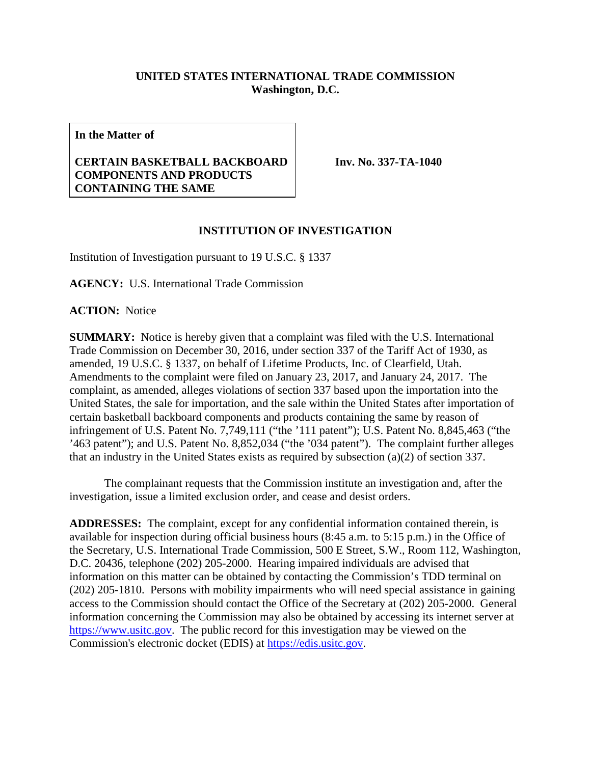## **UNITED STATES INTERNATIONAL TRADE COMMISSION Washington, D.C.**

**In the Matter of**

## **CERTAIN BASKETBALL BACKBOARD COMPONENTS AND PRODUCTS CONTAINING THE SAME**

**Inv. No. 337-TA-1040**

## **INSTITUTION OF INVESTIGATION**

Institution of Investigation pursuant to 19 U.S.C. § 1337

**AGENCY:** U.S. International Trade Commission

**ACTION:** Notice

**SUMMARY:** Notice is hereby given that a complaint was filed with the U.S. International Trade Commission on December 30, 2016, under section 337 of the Tariff Act of 1930, as amended, 19 U.S.C. § 1337, on behalf of Lifetime Products, Inc. of Clearfield, Utah. Amendments to the complaint were filed on January 23, 2017, and January 24, 2017. The complaint, as amended, alleges violations of section 337 based upon the importation into the United States, the sale for importation, and the sale within the United States after importation of certain basketball backboard components and products containing the same by reason of infringement of U.S. Patent No. 7,749,111 ("the '111 patent"); U.S. Patent No. 8,845,463 ("the '463 patent"); and U.S. Patent No. 8,852,034 ("the '034 patent"). The complaint further alleges that an industry in the United States exists as required by subsection (a)(2) of section 337.

The complainant requests that the Commission institute an investigation and, after the investigation, issue a limited exclusion order, and cease and desist orders.

**ADDRESSES:** The complaint, except for any confidential information contained therein, is available for inspection during official business hours (8:45 a.m. to 5:15 p.m.) in the Office of the Secretary, U.S. International Trade Commission, 500 E Street, S.W., Room 112, Washington, D.C. 20436, telephone (202) 205-2000. Hearing impaired individuals are advised that information on this matter can be obtained by contacting the Commission's TDD terminal on (202) 205-1810. Persons with mobility impairments who will need special assistance in gaining access to the Commission should contact the Office of the Secretary at (202) 205-2000. General information concerning the Commission may also be obtained by accessing its internet server at [https://www.usitc.gov.](https://www.usitc.gov/) The public record for this investigation may be viewed on the Commission's electronic docket (EDIS) at [https://edis.usitc.gov.](https://edis.usitc.gov/)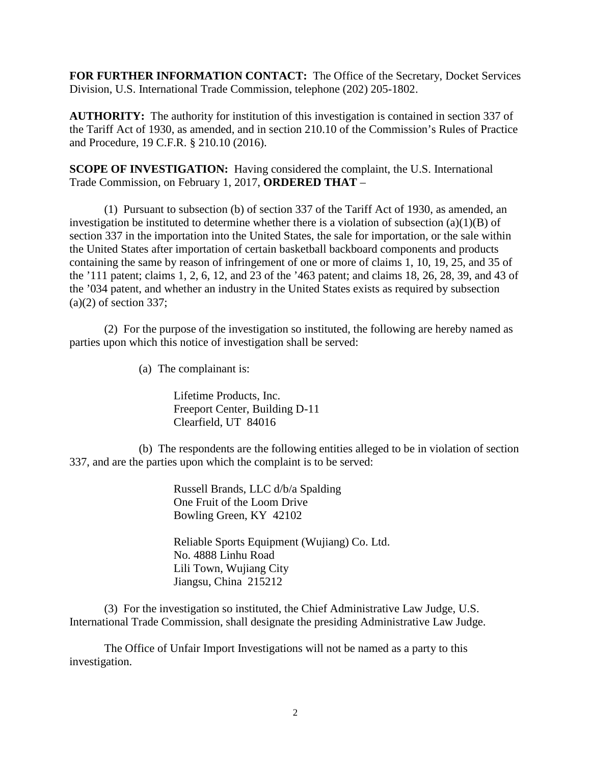**FOR FURTHER INFORMATION CONTACT:** The Office of the Secretary, Docket Services Division, U.S. International Trade Commission, telephone (202) 205-1802.

**AUTHORITY:** The authority for institution of this investigation is contained in section 337 of the Tariff Act of 1930, as amended, and in section 210.10 of the Commission's Rules of Practice and Procedure, 19 C.F.R. § 210.10 (2016).

**SCOPE OF INVESTIGATION:** Having considered the complaint, the U.S. International Trade Commission, on February 1, 2017, **ORDERED THAT** –

(1) Pursuant to subsection (b) of section 337 of the Tariff Act of 1930, as amended, an investigation be instituted to determine whether there is a violation of subsection  $(a)(1)(B)$  of section 337 in the importation into the United States, the sale for importation, or the sale within the United States after importation of certain basketball backboard components and products containing the same by reason of infringement of one or more of claims 1, 10, 19, 25, and 35 of the '111 patent; claims 1, 2, 6, 12, and 23 of the '463 patent; and claims 18, 26, 28, 39, and 43 of the '034 patent, and whether an industry in the United States exists as required by subsection  $(a)(2)$  of section 337;

(2) For the purpose of the investigation so instituted, the following are hereby named as parties upon which this notice of investigation shall be served:

(a) The complainant is:

Lifetime Products, Inc. Freeport Center, Building D-11 Clearfield, UT 84016

(b) The respondents are the following entities alleged to be in violation of section 337, and are the parties upon which the complaint is to be served:

> Russell Brands, LLC d/b/a Spalding One Fruit of the Loom Drive Bowling Green, KY 42102

Reliable Sports Equipment (Wujiang) Co. Ltd. No. 4888 Linhu Road Lili Town, Wujiang City Jiangsu, China 215212

(3) For the investigation so instituted, the Chief Administrative Law Judge, U.S. International Trade Commission, shall designate the presiding Administrative Law Judge.

The Office of Unfair Import Investigations will not be named as a party to this investigation.